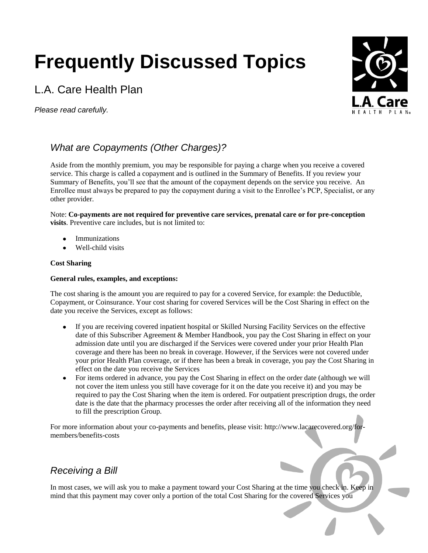# **Frequently Discussed Topics**

# L.A. Care Health Plan

*Please read carefully.*



# *What are Copayments (Other Charges)?*

Aside from the monthly premium, you may be responsible for paying a charge when you receive a covered service. This charge is called a copayment and is outlined in the Summary of Benefits. If you review your Summary of Benefits, you'll see that the amount of the copayment depends on the service you receive. An Enrollee must always be prepared to pay the copayment during a visit to the Enrollee's PCP, Specialist, or any other provider.

Note: **Co-payments are not required for preventive care services, prenatal care or for pre-conception visits**. Preventive care includes, but is not limited to:

- Immunizations
- Well-child visits

## **Cost Sharing**

#### **General rules, examples, and exceptions:**

The cost sharing is the amount you are required to pay for a covered Service, for example: the Deductible, Copayment, or Coinsurance. Your cost sharing for covered Services will be the Cost Sharing in effect on the date you receive the Services, except as follows:

- If you are receiving covered inpatient hospital or Skilled Nursing Facility Services on the effective date of this Subscriber Agreement & Member Handbook, you pay the Cost Sharing in effect on your admission date until you are discharged if the Services were covered under your prior Health Plan coverage and there has been no break in coverage. However, if the Services were not covered under your prior Health Plan coverage, or if there has been a break in coverage, you pay the Cost Sharing in effect on the date you receive the Services
- For items ordered in advance, you pay the Cost Sharing in effect on the order date (although we will not cover the item unless you still have coverage for it on the date you receive it) and you may be required to pay the Cost Sharing when the item is ordered. For outpatient prescription drugs, the order date is the date that the pharmacy processes the order after receiving all of the information they need to fill the prescription Group.

For more information about your co-payments and benefits, please visit: http://www.lacarecovered.org/formembers/benefits-costs

## *Receiving a Bill*

In most cases, we will ask you to make a payment toward your Cost Sharing at the time you check in. Keep in mind that this payment may cover only a portion of the total Cost Sharing for the covered Services you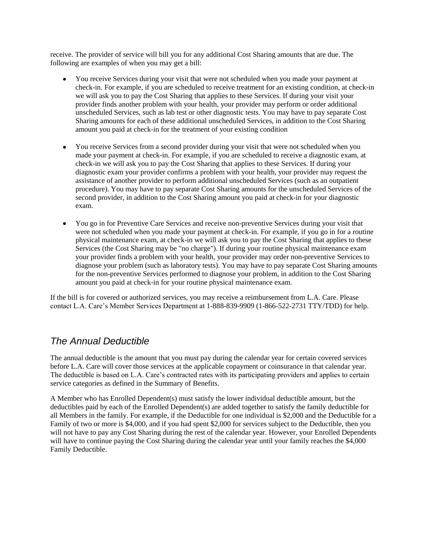receive. The provider of service will bill you for any additional Cost Sharing amounts that are due. The following are examples of when you may get a bill:

- You receive Services during your visit that were not scheduled when you made your payment at check-in. For example, if you are scheduled to receive treatment for an existing condition, at check-in we will ask you to pay the Cost Sharing that applies to these Services. If during your visit your provider finds another problem with your health, your provider may perform or order additional unscheduled Services, such as lab test or other diagnostic tests. You may have to pay separate Cost Sharing amounts for each of these additional unscheduled Services, in addition to the Cost Sharing amount you paid at check-in for the treatment of your existing condition
- You receive Services from a second provider during your visit that were not scheduled when you made your payment at check-in. For example, if you are scheduled to receive a diagnostic exam, at check-in we will ask you to pay the Cost Sharing that applies to these Services. If during your diagnostic exam your provider confirms a problem with your health, your provider may request the assistance of another provider to perform additional unscheduled Services (such as an outpatient procedure). You may have to pay separate Cost Sharing amounts for the unscheduled Services of the second provider, in addition to the Cost Sharing amount you paid at check-in for your diagnostic exam.
- You go in for Preventive Care Services and receive non-preventive Services during your visit that were not scheduled when you made your payment at check-in. For example, if you go in for a routine physical maintenance exam, at check-in we will ask you to pay the Cost Sharing that applies to these Services (the Cost Sharing may be "no charge"). If during your routine physical maintenance exam your provider finds a problem with your health, your provider may order non-preventive Services to diagnose your problem (such as laboratory tests). You may have to pay separate Cost Sharing amounts for the non-preventive Services performed to diagnose your problem, in addition to the Cost Sharing amount you paid at check-in for your routine physical maintenance exam.

If the bill is for covered or authorized services, you may receive a reimbursement from L.A. Care. Please contact L.A. Care's Member Services Department at 1-888-839-9909 (1-866-522-2731 TTY/TDD) for help.

## *The Annual Deductible*

The annual deductible is the amount that you must pay during the calendar year for certain covered services before L.A. Care will cover those services at the applicable copayment or coinsurance in that calendar year. The deductible is based on L.A. Care's contracted rates with its participating providers and applies to certain service categories as defined in the Summary of Benefits.

A Member who has Enrolled Dependent(s) must satisfy the lower individual deductible amount, but the deductibles paid by each of the Enrolled Dependent(s) are added together to satisfy the family deductible for all Members in the family. For example, if the Deductible for one individual is \$2,000 and the Deductible for a Family of two or more is \$4,000, and if you had spent \$2,000 for services subject to the Deductible, then you will not have to pay any Cost Sharing during the rest of the calendar year. However, your Enrolled Dependents will have to continue paying the Cost Sharing during the calendar year until your family reaches the \$4,000 Family Deductible.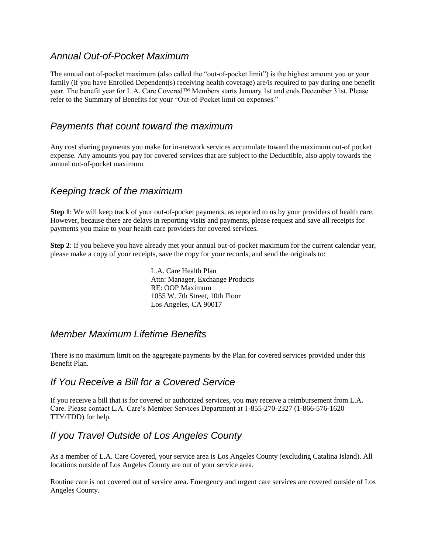## *Annual Out-of-Pocket Maximum*

The annual out of-pocket maximum (also called the "out-of-pocket limit") is the highest amount you or your family (if you have Enrolled Dependent(s) receiving health coverage) are/is required to pay during one benefit year. The benefit year for L.A. Care Covered™ Members starts January 1st and ends December 31st. Please refer to the Summary of Benefits for your "Out-of-Pocket limit on expenses."

## *Payments that count toward the maximum*

Any cost sharing payments you make for in-network services accumulate toward the maximum out-of pocket expense. Any amounts you pay for covered services that are subject to the Deductible, also apply towards the annual out-of-pocket maximum.

## *Keeping track of the maximum*

**Step 1**: We will keep track of your out-of-pocket payments, as reported to us by your providers of health care. However, because there are delays in reporting visits and payments, please request and save all receipts for payments you make to your health care providers for covered services.

**Step 2**: If you believe you have already met your annual out-of-pocket maximum for the current calendar year, please make a copy of your receipts, save the copy for your records, and send the originals to:

> L.A. Care Health Plan Attn: Manager, Exchange Products RE: OOP Maximum 1055 W. 7th Street, 10th Floor Los Angeles, CA 90017

## *Member Maximum Lifetime Benefits*

There is no maximum limit on the aggregate payments by the Plan for covered services provided under this Benefit Plan.

## *If You Receive a Bill for a Covered Service*

If you receive a bill that is for covered or authorized services, you may receive a reimbursement from L.A. Care. Please contact L.A. Care's Member Services Department at 1-855-270-2327 (1-866-576-1620 TTY/TDD) for help.

## *If you Travel Outside of Los Angeles County*

As a member of L.A. Care Covered, your service area is Los Angeles County (excluding Catalina Island). All locations outside of Los Angeles County are out of your service area.

Routine care is not covered out of service area. Emergency and urgent care services are covered outside of Los Angeles County.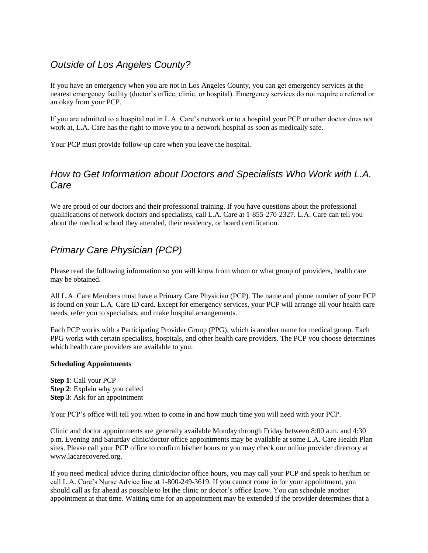## *Outside of Los Angeles County?*

If you have an emergency when you are not in Los Angeles County, you can get emergency services at the nearest emergency facility (doctor's office, clinic, or hospital). Emergency services do not require a referral or an okay from your PCP.

If you are admitted to a hospital not in L.A. Care's network or to a hospital your PCP or other doctor does not work at, L.A. Care has the right to move you to a network hospital as soon as medically safe.

Your PCP must provide follow-up care when you leave the hospital.

## *How to Get Information about Doctors and Specialists Who Work with L.A. Care*

We are proud of our doctors and their professional training. If you have questions about the professional qualifications of network doctors and specialists, call L.A. Care at 1-855-270-2327. L.A. Care can tell you about the medical school they attended, their residency, or board certification.

# *Primary Care Physician (PCP)*

Please read the following information so you will know from whom or what group of providers, health care may be obtained.

All L.A. Care Members must have a Primary Care Physician (PCP). The name and phone number of your PCP is found on your L.A. Care ID card. Except for emergency services, your PCP will arrange all your health care needs, refer you to specialists, and make hospital arrangements.

Each PCP works with a Participating Provider Group (PPG), which is another name for medical group. Each PPG works with certain specialists, hospitals, and other health care providers. The PCP you choose determines which health care providers are available to you.

## **Scheduling Appointments**

**Step 1**: Call your PCP **Step 2**: Explain why you called **Step 3**: Ask for an appointment

Your PCP's office will tell you when to come in and how much time you will need with your PCP.

Clinic and doctor appointments are generally available Monday through Friday between 8:00 a.m. and 4:30 p.m. Evening and Saturday clinic/doctor office appointments may be available at some L.A. Care Health Plan sites. Please call your PCP office to confirm his/her hours or you may check our online provider directory at www.lacarecovered.org.

If you need medical advice during clinic/doctor office hours, you may call your PCP and speak to her/him or call L.A. Care's Nurse Advice line at 1-800-249-3619. If you cannot come in for your appointment, you should call as far ahead as possible to let the clinic or doctor's office know. You can schedule another appointment at that time. Waiting time for an appointment may be extended if the provider determines that a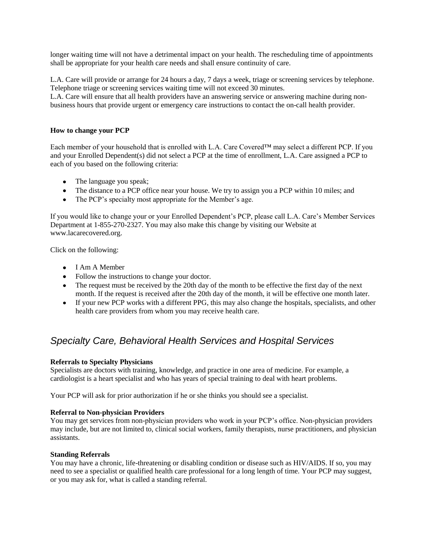longer waiting time will not have a detrimental impact on your health. The rescheduling time of appointments shall be appropriate for your health care needs and shall ensure continuity of care.

L.A. Care will provide or arrange for 24 hours a day, 7 days a week, triage or screening services by telephone. Telephone triage or screening services waiting time will not exceed 30 minutes.

L.A. Care will ensure that all health providers have an answering service or answering machine during nonbusiness hours that provide urgent or emergency care instructions to contact the on-call health provider.

#### **How to change your PCP**

Each member of your household that is enrolled with L.A. Care Covered™ may select a different PCP. If you and your Enrolled Dependent(s) did not select a PCP at the time of enrollment, L.A. Care assigned a PCP to each of you based on the following criteria:

- The language you speak;
- The distance to a PCP office near your house. We try to assign you a PCP within 10 miles; and
- The PCP's specialty most appropriate for the Member's age.

If you would like to change your or your Enrolled Dependent's PCP, please call L.A. Care's Member Services Department at 1-855-270-2327. You may also make this change by visiting our Website at www.lacarecovered.org.

Click on the following:

- I Am A Member
- Follow the instructions to change your doctor.
- The request must be received by the 20th day of the month to be effective the first day of the next month. If the request is received after the 20th day of the month, it will be effective one month later.
- If your new PCP works with a different PPG, this may also change the hospitals, specialists, and other health care providers from whom you may receive health care.

## *Specialty Care, Behavioral Health Services and Hospital Services*

#### **Referrals to Specialty Physicians**

Specialists are doctors with training, knowledge, and practice in one area of medicine. For example, a cardiologist is a heart specialist and who has years of special training to deal with heart problems.

Your PCP will ask for prior authorization if he or she thinks you should see a specialist.

#### **Referral to Non-physician Providers**

You may get services from non-physician providers who work in your PCP's office. Non-physician providers may include, but are not limited to, clinical social workers, family therapists, nurse practitioners, and physician assistants.

#### **Standing Referrals**

You may have a chronic, life-threatening or disabling condition or disease such as HIV/AIDS. If so, you may need to see a specialist or qualified health care professional for a long length of time. Your PCP may suggest, or you may ask for, what is called a standing referral.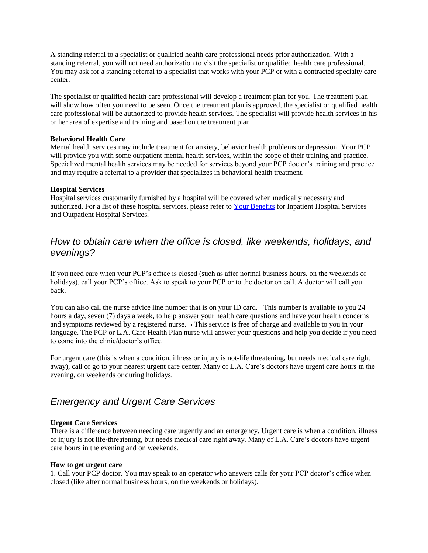A standing referral to a specialist or qualified health care professional needs prior authorization. With a standing referral, you will not need authorization to visit the specialist or qualified health care professional. You may ask for a standing referral to a specialist that works with your PCP or with a contracted specialty care center.

The specialist or qualified health care professional will develop a treatment plan for you. The treatment plan will show how often you need to be seen. Once the treatment plan is approved, the specialist or qualified health care professional will be authorized to provide health services. The specialist will provide health services in his or her area of expertise and training and based on the treatment plan.

#### **Behavioral Health Care**

Mental health services may include treatment for anxiety, behavior health problems or depression. Your PCP will provide you with some outpatient mental health services, within the scope of their training and practice. Specialized mental health services may be needed for services beyond your PCP doctor's training and practice and may require a referral to a provider that specializes in behavioral health treatment.

#### **Hospital Services**

Hospital services customarily furnished by a hospital will be covered when medically necessary and authorized. For a list of these hospital services, please refer to [Your Benefits](http://www.lacarecovered.org/for-members/benefits-costs) for Inpatient Hospital Services and Outpatient Hospital Services.

## *How to obtain care when the office is closed, like weekends, holidays, and evenings?*

If you need care when your PCP's office is closed (such as after normal business hours, on the weekends or holidays), call your PCP's office. Ask to speak to your PCP or to the doctor on call. A doctor will call you back.

You can also call the nurse advice line number that is on your ID card.  $\neg$ This number is available to you 24 hours a day, seven (7) days a week, to help answer your health care questions and have your health concerns and symptoms reviewed by a registered nurse.  $\neg$  This service is free of charge and available to you in your language. The PCP or L.A. Care Health Plan nurse will answer your questions and help you decide if you need to come into the clinic/doctor's office.

For urgent care (this is when a condition, illness or injury is not-life threatening, but needs medical care right away), call or go to your nearest urgent care center. Many of L.A. Care's doctors have urgent care hours in the evening, on weekends or during holidays.

## *Emergency and Urgent Care Services*

## **Urgent Care Services**

There is a difference between needing care urgently and an emergency. Urgent care is when a condition, illness or injury is not life-threatening, but needs medical care right away. Many of L.A. Care's doctors have urgent care hours in the evening and on weekends.

#### **How to get urgent care**

1. Call your PCP doctor. You may speak to an operator who answers calls for your PCP doctor's office when closed (like after normal business hours, on the weekends or holidays).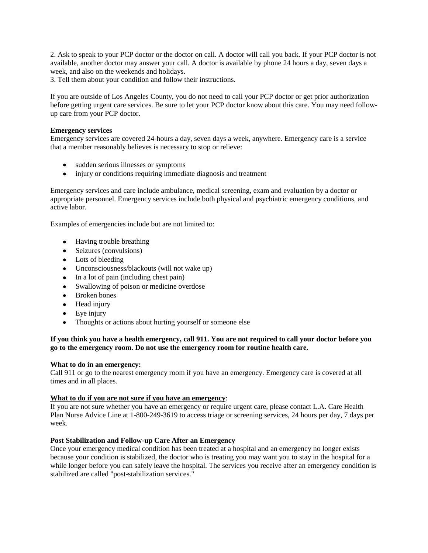2. Ask to speak to your PCP doctor or the doctor on call. A doctor will call you back. If your PCP doctor is not available, another doctor may answer your call. A doctor is available by phone 24 hours a day, seven days a week, and also on the weekends and holidays.

3. Tell them about your condition and follow their instructions.

If you are outside of Los Angeles County, you do not need to call your PCP doctor or get prior authorization before getting urgent care services. Be sure to let your PCP doctor know about this care. You may need followup care from your PCP doctor.

#### **Emergency services**

Emergency services are covered 24-hours a day, seven days a week, anywhere. Emergency care is a service that a member reasonably believes is necessary to stop or relieve:

- sudden serious illnesses or symptoms
- injury or conditions requiring immediate diagnosis and treatment

Emergency services and care include ambulance, medical screening, exam and evaluation by a doctor or appropriate personnel. Emergency services include both physical and psychiatric emergency conditions, and active labor.

Examples of emergencies include but are not limited to:

- Having trouble breathing
- Seizures (convulsions)
- Lots of bleeding
- Unconsciousness/blackouts (will not wake up)
- $\bullet$  In a lot of pain (including chest pain)
- Swallowing of poison or medicine overdose
- $\bullet$ Broken bones
- Head injury
- Eye injury
- Thoughts or actions about hurting yourself or someone else

#### **If you think you have a health emergency, call 911. You are not required to call your doctor before you go to the emergency room. Do not use the emergency room for routine health care.**

#### **What to do in an emergency:**

Call 911 or go to the nearest emergency room if you have an emergency. Emergency care is covered at all times and in all places.

#### **What to do if you are not sure if you have an emergency**:

If you are not sure whether you have an emergency or require urgent care, please contact L.A. Care Health Plan Nurse Advice Line at 1-800-249-3619 to access triage or screening services, 24 hours per day, 7 days per week.

#### **Post Stabilization and Follow-up Care After an Emergency**

Once your emergency medical condition has been treated at a hospital and an emergency no longer exists because your condition is stabilized, the doctor who is treating you may want you to stay in the hospital for a while longer before you can safely leave the hospital. The services you receive after an emergency condition is stabilized are called "post-stabilization services."